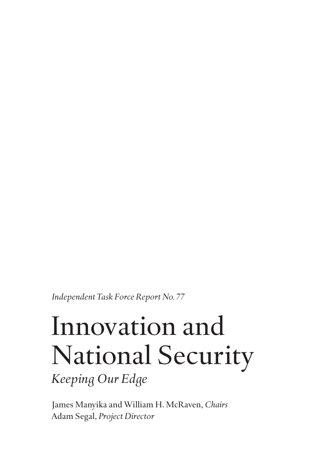*Independent Task Force Report No. 77*

## Innovation and National Security

*Keeping Our Edge*

James Manyika and William H. McRaven, *Chairs* Adam Segal, *Project Director*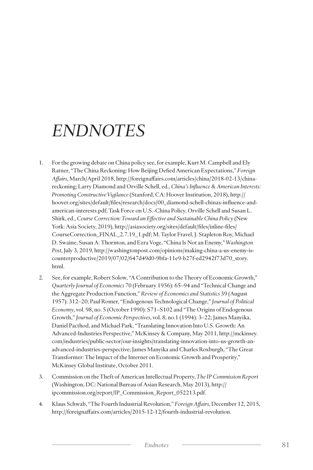## *ENDNOTES*

- 1. For the growing debate on China policy see, for example, Kurt M. Campbell and Ely Ratner, "The China Reckoning: How Beijing Defied American Expectations," *Foreign Affairs*, March/April 2018, http://foreignaffairs.com/articles/china/2018-02-13/chinareckoning; Larry Diamond and Orville Schell, ed., *China's Influence & American Interests: Promoting Constructive Vigilance* (Stanford, CA: Hoover Institution, 2018), http:// hoover.org/sites/default/files/research/docs/00\_diamond-schell-chinas-influence-andamerican-interests.pdf; Task Force on U.S.-China Policy, Orville Schell and Susan L. Shirk, ed., *Course Correction: Toward an Effective and Sustainable China Policy* (New York: Asia Society, 2019), http://asiasociety.org/sites/default/files/inline-files/ CourseCorrection\_FINAL\_2.7.19\_1.pdf; M. Taylor Fravel, J. Stapleton Roy, Michael D. Swaine, Susan A. Thornton, and Ezra Voge, "China Is Not an Enemy," *Washington Post*, July 3, 2019, http://washingtonpost.com/opinions/making-china-a-us-enemy-iscounterproductive/2019/07/02/647d49d0-9bfa-11e9-b27f-ed2942f73d70\_story. html.
- 2. See, for example, Robert Solow, "A Contribution to the Theory of Economic Growth," *Quarterly Journal of Economics* 70 (February 1956): 65–94 and "Technical Change and the Aggregate Production Function," *Review of Economics and Statistics* 39 (August 1957): 312–20; Paul Romer, "Endogenous Technological Change," *Journal of Political Economy*, vol. 98, no. 5 (October 1990): S71–S102 and "The Origins of Endogenous Growth," *Journal of Economic Perspectives*, vol. 8, no.1 (1994): 3–22; James Manyika, Daniel Pacthod, and Michael Park, "Translating Innovation Into U.S. Growth: An Advanced-Industries Perspective," McKinsey & Company, May 2011, http://mckinsey. com/industries/public-sector/our-insights/translating-innovation-into-us-growth-anadvanced-industries-perspective; James Manyika and Charles Roxburgh, "The Great Transformer: The Impact of the Internet on Economic Growth and Prosperity," McKinsey Global Institute, October 2011.
- 3. Commission on the Theft of American Intellectual Property, *The IP Commission Report* (Washington, DC: National Bureau of Asian Research, May 2013), http:// ipcommission.org/report/IP\_Commission\_Report\_052213.pdf.
- 4. Klaus Schwab, "The Fourth Industrial Revolution," *Foreign Affairs*, December 12, 2015, http://foreignaffairs.com/articles/2015-12-12/fourth-industrial-revolution.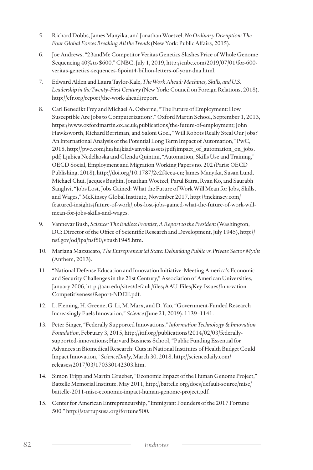- 5. Richard Dobbs, James Manyika, and Jonathan Woetzel, *No Ordinary Disruption: The Four Global Forces Breaking All the Trends* (New York: Public Affairs, 2015).
- 6. Joe Andrews, "23andMe Competitor Veritas Genetics Slashes Price of Whole Genome Sequencing 40% to \$600," CNBC, July 1, 2019, http://cnbc.com/2019/07/01/for-600 veritas-genetics-sequences-6point4-billion-letters-of-your-dna.html.
- 7. Edward Alden and Laura Taylor-Kale, *The Work Ahead: Machines, Skills, and U.S. Leadership in the Twenty-First Century* (New York: Council on Foreign Relations, 2018), http://cfr.org/report/the-work-ahead/report.
- 8. Carl Benedikt Frey and Michael A. Osborne, "The Future of Employment: How Susceptible Are Jobs to Computerization?," Oxford Martin School, September 1, 2013, https://www.oxfordmartin.ox.ac.uk/publications/the-future-of-employment; John Hawksworth, Richard Berriman, and Saloni Goel, "Will Robots Really Steal Our Jobs? An International Analysis of the Potential Long Term Impact of Automation," PwC, 2018, http://pwc.com/hu/hu/kiadvanyok/assets/pdf/impact\_of\_automation\_on\_jobs. pdf; Ljubica Nedelkoska and Glenda Quintini, "Automation, Skills Use and Training," OECD Social, Employment and Migration Working Papers no. 202 (Paris: OECD Publishing, 2018), http://doi.org/10.1787/2e2f4eea-en; James Manyika, Susan Lund, Michael Chui, Jacques Bughin, Jonathan Woetzel, Parul Batra, Ryan Ko, and Saurabh Sanghvi, "Jobs Lost, Jobs Gained: What the Future of Work Will Mean for Jobs, Skills, and Wages," McKinsey Global Institute, November 2017, http://mckinsey.com/ featured-insights/future-of-work/jobs-lost-jobs-gained-what-the-future-of-work-willmean-for-jobs-skills-and-wages.
- 9. Vannevar Bush, *Science: The Endless Frontier, A Report to the President* (Washington, DC: Director of the Office of Scientific Research and Development, July 1945), http:// nsf.gov/od/lpa/nsf50/vbush1945.htm.
- 10. Mariana Mazzucato, *The Entrepreneurial State: Debunking Public vs. Private Sector Myths* (Anthem, 2013).
- 11. "National Defense Education and Innovation Initiative: Meeting America's Economic and Security Challenges in the 21st Century," Association of American Universities, January 2006, http://aau.edu/sites/default/files/AAU-Files/Key-Issues/Innovation-Competitiveness/Report-NDEII.pdf.
- 12. L. Fleming, H. Greene, G. Li, M. Marx, and D. Yao, "Government-Funded Research Increasingly Fuels Innovation," *Science* (June 21, 2019): 1139–1141.
- 13. Peter Singer, "Federally Supported Innovations," *Information Technology & Innovation Foundation*, February 3, 2015, http://itif.org/publications/2014/02/03/federallysupported-innovations; Harvard Business School, "Public Funding Essential for Advances in Biomedical Research: Cuts in National Institutes of Health Budget Could Impact Innovation," *ScienceDaily*, March 30, 2018, http://sciencedaily.com/ releases/2017/03/170330142303.htm.
- 14. Simon Tripp and Martin Grueber, "Economic Impact of the Human Genome Project," Battelle Memorial Institute, May 2011, http://battelle.org/docs/default-source/misc/ battelle-2011-misc-economic-impact-human-genome-project.pdf.
- 15. Center for American Entrepreneurship, "Immigrant Founders of the 2017 Fortune 500," http://startupsusa.org/fortune500.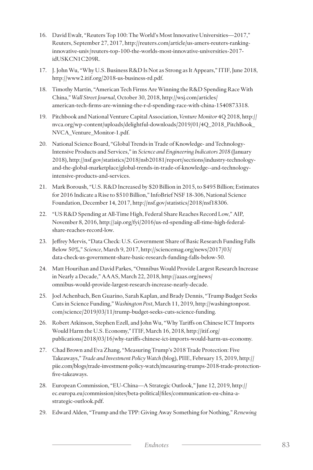- 16. David Ewalt, "Reuters Top 100: The World's Most Innovative Universities—2017," Reuters, September 27, 2017, http://reuters.com/article/us-amers-reuters-rankinginnovative-univ/reuters-top-100-the-worlds-most-innovative-universities-2017 idUSKCN1C209R.
- 17. J. John Wu, "Why U.S. Business R&D Is Not as Strong as It Appears," ITIF, June 2018, http://www2.itif.org/2018-us-business-rd.pdf.
- 18. Timothy Martin, "American Tech Firms Are Winning the R&D Spending Race With China," *Wall Street Journal*, October 30, 2018, http://wsj.com/articles/ american-tech-firms-are-winning-the-r-d-spending-race-with-china-1540873318.
- 19. Pitchbook and National Venture Capital Association, *Venture Monitor* 4Q 2018, http:// nvca.org/wp-content/uploads/delightful-downloads/2019/01/4Q\_2018\_PitchBook\_ NVCA\_Venture\_Monitor-1.pdf.
- 20. National Science Board, "Global Trends in Trade of Knowledge- and Technology-Intensive Products and Services," in *Science and Engineering Indicators 2018* (January 2018), http://nsf.gov/statistics/2018/nsb20181/report/sections/industry-technologyand-the-global-marketplace/global-trends-in-trade-of-knowledge--and-technologyintensive-products-and-services.
- 21. Mark Boroush, "U.S. R&D Increased by \$20 Billion in 2015, to \$495 Billion; Estimates for 2016 Indicate a Rise to \$510 Billion," InfoBrief NSF 18-306, National Science Foundation, December 14, 2017, http://nsf.gov/statistics/2018/nsf18306.
- 22. "US R&D Spending at All-Time High, Federal Share Reaches Record Low," AIP, November 8, 2016, http://aip.org/fyi/2016/us-rd-spending-all-time-high-federalshare-reaches-record-low.
- 23. Jeffrey Mervis, "Data Check: U.S. Government Share of Basic Research Funding Falls Below 50%," *Science*, March 9, 2017, http://sciencemag.org/news/2017/03/ data-check-us-government-share-basic-research-funding-falls-below-50.
- 24. Matt Hourihan and David Parkes, "Omnibus Would Provide Largest Research Increase in Nearly a Decade," AAAS, March 22, 2018, http://aaas.org/news/ omnibus-would-provide-largest-research-increase-nearly-decade.
- 25. Joel Achenbach, Ben Guarino, Sarah Kaplan, and Brady Dennis, "Trump Budget Seeks Cuts in Science Funding," *Washington Post*, March 11, 2019, http://washingtonpost. com/science/2019/03/11/trump-budget-seeks-cuts-science-funding.
- 26. Robert Atkinson, Stephen Ezell, and John Wu, "Why Tariffs on Chinese ICT Imports Would Harm the U.S. Economy," ITIF, March 16, 2018, http://itif.org/ publications/2018/03/16/why-tariffs-chinese-ict-imports-would-harm-us-economy.
- 27. Chad Brown and Eva Zhang, "Measuring Trump's 2018 Trade Protection: Five Takeaways," *Trade and Investment Policy Watch* (blog), PIIE, February 15, 2019, http:// piie.com/blogs/trade-investment-policy-watch/measuring-trumps-2018-trade-protectionfive-takeaways.
- 28. European Commission, "EU-China—A Strategic Outlook," June 12, 2019, http:// ec.europa.eu/commission/sites/beta-political/files/communication-eu-china-astrategic-outlook.pdf.
- 29. Edward Alden, "Trump and the TPP: Giving Away Something for Nothing," *Renewing*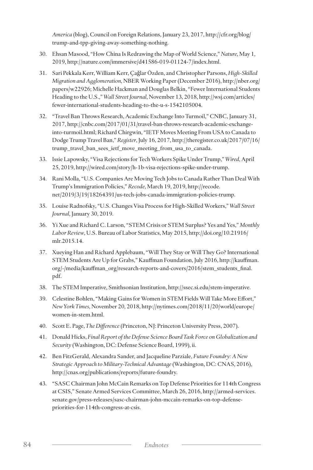*America* (blog), Council on Foreign Relations, January 23, 2017, http://cfr.org/blog/ trump-and-tpp-giving-away-something-nothing.

- 30. Ehsan Masood, "How China Is Redrawing the Map of World Science," *Nature*, May 1, 2019, http://nature.com/immersive/d41586-019-01124-7/index.html.
- 31. Sari Pekkala Kerr, William Kerr, Çaǧlar Özden, and Christopher Parsons, *High-Skilled Migration and Agglomeration*, NBER Working Paper (December 2016), http://nber.org/ papers/w22926; Michelle Hackman and Douglas Belkin, "Fewer International Students Heading to the U.S.," *Wall Street Journal*, November 13, 2018, http://wsj.com/articles/ fewer-international-students-heading-to-the-u-s-1542105004.
- 32. "Travel Ban Throws Research, Academic Exchange Into Turmoil," CNBC, January 31, 2017, http://cnbc.com/2017/01/31/travel-ban-throws-research-academic-exchangeinto-turmoil.html; Richard Chirgwin, "IETF Moves Meeting From USA to Canada to Dodge Trump Travel Ban," *Register*, July 16, 2017, http://theregister.co.uk/2017/07/16/ trump\_travel\_ban\_sees\_ietf\_move\_meeting\_from\_usa\_to\_canada.
- 33. Issie Lapowsky, "Visa Rejections for Tech Workers Spike Under Trump," *Wired*, April 25, 2019, http://wired.com/story/h-1b-visa-rejections-spike-under-trump.
- 34. Rani Molla, "U.S. Companies Are Moving Tech Jobs to Canada Rather Than Deal With Trump's Immigration Policies," *Recode*, March 19, 2019, http://recode. net/2019/3/19/18264391/us-tech-jobs-canada-immigration-policies-trump.
- 35. Louise Radnofsky, "U.S. Changes Visa Process for High-Skilled Workers," *Wall Street Journal*, January 30, 2019.
- 36. Yi Xue and Richard C. Larson, "STEM Crisis or STEM Surplus? Yes and Yes," *Monthly Labor Review*, U.S. Bureau of Labor Statistics, May 2015, http://doi.org/10.21916/ mlr.2015.14.
- 37. Xueying Han and Richard Applebaum, "Will They Stay or Will They Go? International STEM Students Are Up for Grabs," Kauffman Foundation, July 2016, http://kauffman. org/-/media/kauffman\_org/research-reports-and-covers/2016/stem\_students\_final. pdf.
- 38. The STEM Imperative, Smithsonian Institution, http://ssec.si.edu/stem-imperative.
- 39. Celestine Bohlen, "Making Gains for Women in STEM Fields Will Take More Effort," *New York Times*, November 20, 2018, http://nytimes.com/2018/11/20/world/europe/ women-in-stem.html.
- 40. Scott E. Page, *The Difference* (Princeton, NJ: Princeton University Press, 2007).
- 41. Donald Hicks, *Final Report of the Defense Science Board Task Force on Globalization and Security* (Washington, DC: Defense Science Board, 1999), ii.
- 42. Ben FitzGerald, Alexandra Sander, and Jacqueline Parziale, *Future Foundry: A New Strategic Approach to Military-Technical Advantage* (Washington, DC: CNAS, 2016), http://cnas.org/publications/reports/future-foundry.
- 43. "SASC Chairman John McCain Remarks on Top Defense Priorities for 114th Congress at CSIS," Senate Armed Services Committee, March 26, 2016, http://armed-services. senate.gov/press-releases/sasc-chairman-john-mccain-remarks-on-top-defensepriorities-for-114th-congress-at-csis.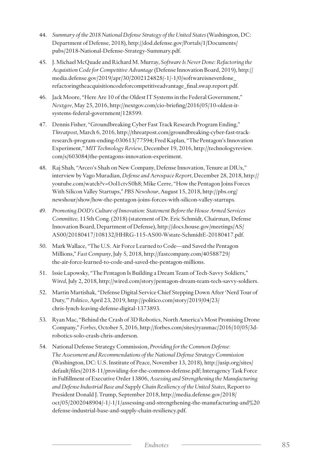- 44. *Summary of the 2018 National Defense Strategy of the United States* (Washington, DC: Department of Defense, 2018), http://dod.defense.gov/Portals/1/Documents/ pubs/2018-National-Defense-Strategy-Summary.pdf.
- 45. J. Michael McQuade and Richard M. Murray, *Software Is Never Done: Refactoring the Acquisition Code for Competitive Advantage* (Defense Innovation Board, 2019), http:// media.defense.gov/2019/apr/30/2002124828/-1/-1/0/softwareisneverdone\_ refactoringtheacquisitioncodeforcompetitiveadvantage\_final.swap.report.pdf.
- 46. Jack Moore, "Here Are 10 of the Oldest IT Systems in the Federal Government," *Nextgov*, May 25, 2016, http://nextgov.com/cio-briefing/2016/05/10-oldest-itsystems-federal-government/128599.
- 47. Dennis Fisher, "Groundbreaking Cyber Fast Track Research Program Ending," *Threatpost*, March 6, 2016, http://threatpost.com/groundbreaking-cyber-fast-trackresearch-program-ending-030613/77594; Fred Kaplan, "The Pentagon's Innovation Experiment," *MIT Technology Review*, December 19, 2016, http://technologyreview. com/s/603084/the-pentagons-innovation-experiment.
- 48. Raj Shah, "Arceo's Shah on New Company, Defense Innovation, Tenure at DIUx," interview by Vago Muradian, *Defense and Aerospace Report*, December 28, 2018, http:// youtube.com/watch?v=Ool1ctvS0h8; Mike Cerre, "How the Pentagon Joins Forces With Silicon Valley Startups," *PBS Newshour*, August 15, 2018, http://pbs.org/ newshour/show/how-the-pentagon-joins-forces-with-silicon-valley-startups.
- *49. Promoting DOD's Culture of Innovation: Statement Before the House Armed Services Committee,* 115th Cong. (2018) (statement of Dr. Eric Schmidt, Chairman, Defense Innovation Board, Department of Defense), http://docs.house.gov/meetings/AS/ AS00/20180417/108132/HHRG-115-AS00-Wstate-SchmidtE-20180417.pdf.
- 50. Mark Wallace, "The U.S. Air Force Learned to Code—and Saved the Pentagon Millions," *Fast Company*, July 5, 2018, http://fastcompany.com/40588729/ the-air-force-learned-to-code-and-saved-the-pentagon-millions.
- 51. Issie Lapowsky, "The Pentagon Is Building a Dream Team of Tech-Savvy Soldiers," *Wired*, July 2, 2018, http://wired.com/story/pentagon-dream-team-tech-savvy-soldiers.
- 52. Martin Martishak, "Defense Digital Service Chief Stepping Down After 'Nerd Tour of Duty,'" *Politico*, April 23, 2019, http://politico.com/story/2019/04/23/ chris-lynch-leaving-defense-digital-1373893.
- 53. Ryan Mac, "Behind the Crash of 3D Robotics, North America's Most Promising Drone Company," *Forbes*, October 5, 2016, http://forbes.com/sites/ryanmac/2016/10/05/3drobotics-solo-crash-chris-anderson.
- 54. National Defense Strategy Commission, *Providing for the Common Defense: The Assessment and Recommendations of the National Defense Strategy Commission* (Washington, DC: U.S. Institute of Peace, November 13, 2018), http://usip.org/sites/ default/files/2018-11/providing-for-the-common-defense.pdf; Interagency Task Force in Fulfillment of Executive Order 13806, *Assessing and Strengthening the Manufacturing and Defense Industrial Base and Supply Chain Resiliency of the United States*, Report to President Donald J. Trump, September 2018, http://media.defense.gov/2018/ oct/05/2002048904/-1/-1/1/assessing-and-strengthening-the-manufacturing-and%20 defense-industrial-base-and-supply-chain-resiliency.pdf.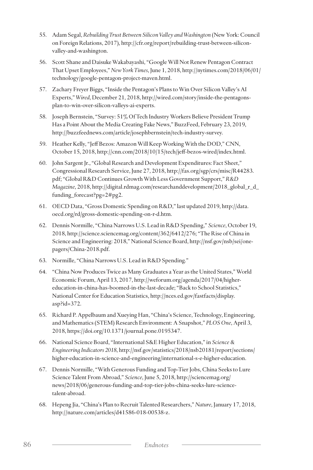- 55. Adam Segal, *Rebuilding Trust Between Silicon Valley and Washington* (New York: Council on Foreign Relations, 2017), http://cfr.org/report/rebuilding-trust-between-siliconvalley-and-washington.
- 56. Scott Shane and Daisuke Wakabayashi, "Google Will Not Renew Pentagon Contract That Upset Employees," *New York Times*, June 1, 2018, http://nytimes.com/2018/06/01/ technology/google-pentagon-project-maven.html.
- 57. Zachary Freyer Biggs, "Inside the Pentagon's Plans to Win Over Silicon Valley's AI Experts," *Wired*, December 21, 2018, http://wired.com/story/inside-the-pentagonsplan-to-win-over-silicon-valleys-ai-experts.
- 58. Joseph Bernstein, "Survey: 51% Of Tech Industry Workers Believe President Trump Has a Point About the Media Creating Fake News," BuzzFeed, February 23, 2019, http://buzzfeednews.com/article/josephbernstein/tech-industry-survey.
- 59. Heather Kelly, "Jeff Bezos: Amazon Will Keep Working With the DOD," CNN, October 15, 2018, http://cnn.com/2018/10/15/tech/jeff-bezos-wired/index.html.
- 60. John Sargent Jr., "Global Research and Development Expenditures: Fact Sheet," Congressional Research Service, June 27, 2018, http://fas.org/sgp/crs/misc/R44283. pdf; "Global R&D Continues Growth With Less Government Support," *R&D Magazine*, 2018, http://digital.rdmag.com/researchanddevelopment/2018\_global\_r\_d\_ funding\_forecast?pg=2#pg2.
- 61. OECD Data, "Gross Domestic Spending on R&D," last updated 2019, http://data. oecd.org/rd/gross-domestic-spending-on-r-d.htm.
- 62. Dennis Normille, "China Narrows U.S. Lead in R&D Spending," *Science*, October 19, 2018, http://science.sciencemag.org/content/362/6412/276; "The Rise of China in Science and Engineering: 2018," National Science Board, http://nsf.gov/nsb/sei/onepagers/China-2018.pdf.
- 63. Normille, "China Narrows U.S. Lead in R&D Spending."
- 64. "China Now Produces Twice as Many Graduates a Year as the United States," World Economic Forum, April 13, 2017, http://weforum.org/agenda/2017/04/highereducation-in-china-has-boomed-in-the-last-decade; "Back to School Statistics," National Center for Education Statistics, http://nces.ed.gov/fastfacts/display. asp?id=372.
- 65. Richard P. Appelbaum and Xueying Han, "China's Science, Technology, Engineering, and Mathematics (STEM) Research Environment: A Snapshot," *PLOS One*, April 3, 2018, https://doi.org/10.1371/journal.pone.0195347.
- 66. National Science Board, "International S&E Higher Education," in *Science & Engineering Indicators 2018*, http://nsf.gov/statistics/2018/nsb20181/report/sections/ higher-education-in-science-and-engineering/international-s-e-higher-education.
- 67. Dennis Normille, "With Generous Funding and Top-Tier Jobs, China Seeks to Lure Science Talent From Abroad," *Science*, June 5, 2018, http://sciencemag.org/ news/2018/06/generous-funding-and-top-tier-jobs-china-seeks-lure-sciencetalent-abroad.
- 68. Hepeng Jia, "China's Plan to Recruit Talented Researchers," *Nature*, January 17, 2018, http://nature.com/articles/d41586-018-00538-z.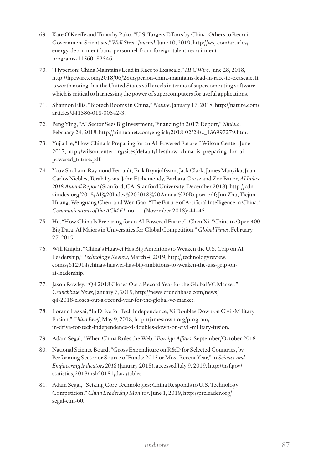- 69. Kate O'Keeffe and Timothy Puko, "U.S. Targets Efforts by China, Others to Recruit Government Scientists," *Wall Street Journal*, June 10, 2019, http://wsj.com/articles/ energy-department-bans-personnel-from-foreign-talent-recruitmentprograms-11560182546.
- 70. "Hyperion: China Maintains Lead in Race to Exascale," *HPC Wire*, June 28, 2018, http://hpcwire.com/2018/06/28/hyperion-china-maintains-lead-in-race-to-exascale. It is worth noting that the United States still excels in terms of supercomputing software, which is critical to harnessing the power of supercomputers for useful applications.
- 71. Shannon Ellis, "Biotech Booms in China," *Nature*, January 17, 2018, http://nature.com/ articles/d41586-018-00542-3.
- 72. Peng Ying, "AI Sector Sees Big Investment, Financing in 2017: Report," *Xinhua*, February 24, 2018, http://xinhuanet.com/english/2018-02/24/c\_136997279.htm.
- 73. Yujia He, "How China Is Preparing for an AI-Powered Future," Wilson Center, June 2017, http://wilsoncenter.org/sites/default/files/how\_china\_is\_preparing\_for\_ai\_ powered\_future.pdf.
- 74. Yoav Shoham, Raymond Perrault, Erik Brynjolfsson, Jack Clark, James Manyika, Juan Carlos Niebles, Terah Lyons, John Etchemendy, Barbara Grosz and Zoe Bauer, *AI Index 2018 Annual Report* (Stanford, CA: Stanford University, December 2018), http://cdn. aiindex.org/2018/AI%20Index%202018%20Annual%20Report.pdf; Jun Zhu, Tiejun Huang, Wenguang Chen, and Wen Gao, "The Future of Artificial Intelligence in China," *Communications of the ACM 61*, no. 11 (November 2018): 44–45.
- 75. He, "How China Is Preparing for an AI-Powered Future"; Chen Xi, "China to Open 400 Big Data, AI Majors in Universities for Global Competition," *Global Times*, February 27, 2019.
- 76. Will Knight, "China's Huawei Has Big Ambitions to Weaken the U.S. Grip on AI Leadership," *Technology Review*, March 4, 2019, http://technologyreview. com/s/612914/chinas-huawei-has-big-ambitions-to-weaken-the-uss-grip-onai-leadership.
- 77. Jason Rowley, "Q4 2018 Closes Out a Record Year for the Global VC Market," *Crunchbase News*, January 7, 2019, http://news.crunchbase.com/news/ q4-2018-closes-out-a-record-year-for-the-global-vc-market.
- 78. Lorand Laskai, "In Drive for Tech Independence, Xi Doubles Down on Civil-Military Fusion," *China Brief*, May 9, 2018, http://jamestown.org/program/ in-drive-for-tech-independence-xi-doubles-down-on-civil-military-fusion.
- 79. Adam Segal, "When China Rules the Web," *Foreign Affairs*, September/October 2018.
- 80. National Science Board, "Gross Expenditure on R&D for Selected Countries, by Performing Sector or Source of Funds: 2015 or Most Recent Year," in *Science and Engineering Indicators 2018* (January 2018), accessed July 9, 2019, http://nsf.gov/ statistics/2018/nsb20181/data/tables.
- 81. Adam Segal, "Seizing Core Technologies: China Responds to U.S. Technology Competition," *China Leadership Monitor*, June 1, 2019, http://prcleader.org/ segal-clm-60.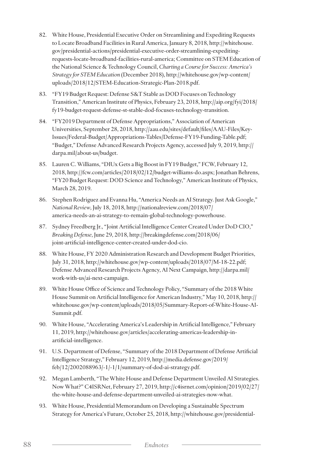- 82. White House, Presidential Executive Order on Streamlining and Expediting Requests to Locate Broadband Facilities in Rural America, January 8, 2018, http://whitehouse. gov/presidential-actions/presidential-executive-order-streamlining-expeditingrequests-locate-broadband-facilities-rural-america; Committee on STEM Education of the National Science & Technology Council, *Charting a Course for Success: America's Strategy for STEM Education* (December 2018), http://whitehouse.gov/wp-content/ uploads/2018/12/STEM-Education-Strategic-Plan-2018.pdf.
- 83. "FY19 Budget Request: Defense S&T Stable as DOD Focuses on Technology Transition," American Institute of Physics, February 23, 2018, http://aip.org/fyi/2018/ fy19-budget-request-defense-st-stable-dod-focuses-technology-transition.
- 84. "FY2019 Department of Defense Appropriations," Association of American Universities, September 28, 2018, http://aau.edu/sites/default/files/AAU-Files/Key-Issues/Federal-Budget/Appropriations-Tables/Defense-FY19-Funding-Table.pdf; "Budget," Defense Advanced Research Projects Agency, accessed July 9, 2019, http:// darpa.mil/about-us/budget.
- 85. Lauren C. Williams, "DIUx Gets a Big Boost in FY19 Budget," FCW, February 12, 2018, http://fcw.com/articles/2018/02/12/budget-williams-do.aspx; Jonathan Behrens, "FY20 Budget Request: DOD Science and Technology," American Institute of Physics, March 28, 2019.
- 86. Stephen Rodriguez and Evanna Hu, "America Needs an AI Strategy. Just Ask Google," *National Review*, July 18, 2018, http://nationalreview.com/2018/07/ america-needs-an-ai-strategy-to-remain-global-technology-powerhouse.
- 87. Sydney Freedberg Jr., "Joint Artificial Intelligence Center Created Under DoD CIO," *Breaking Defense*, June 29, 2018, http://breakingdefense.com/2018/06/ joint-artificial-intelligence-center-created-under-dod-cio.
- 88. White House, FY 2020 Administration Research and Development Budget Priorities, July 31, 2018, http://whitehouse.gov/wp-content/uploads/2018/07/M-18-22.pdf; Defense Advanced Research Projects Agency, AI Next Campaign, http://darpa.mil/ work-with-us/ai-next-campaign.
- 89. White House Office of Science and Technology Policy, "Summary of the 2018 White House Summit on Artificial Intelligence for American Industry," May 10, 2018, http:// whitehouse.gov/wp-content/uploads/2018/05/Summary-Report-of-White-House-AI-Summit.pdf.
- 90. White House, "Accelerating America's Leadership in Artificial Intelligence," February 11, 2019, http://whitehouse.gov/articles/accelerating-americas-leadership-inartificial-intelligence.
- 91. U.S. Department of Defense, "Summary of the 2018 Department of Defense Artificial Intelligence Strategy," February 12, 2019, http://media.defense.gov/2019/ feb/12/2002088963/-1/-1/1/summary-of-dod-ai-strategy.pdf.
- 92. Megan Lamberth, "The White House and Defense Department Unveiled AI Strategies. Now What?" C4ISRNet, February 27, 2019, http://c4isrnet.com/opinion/2019/02/27/ the-white-house-and-defense-department-unveiled-ai-strategies-now-what.
- 93. White House, Presidential Memorandum on Developing a Sustainable Spectrum Strategy for America's Future, October 25, 2018, http://whitehouse.gov/presidential-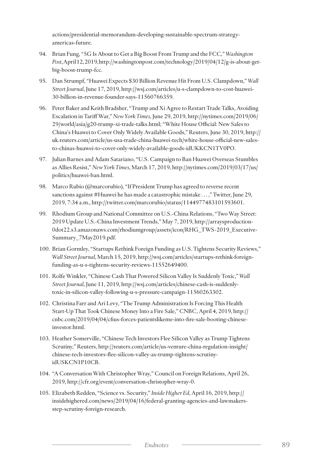actions/presidential-memorandum-developing-sustainable-spectrum-strategyamericas-future.

- 94. Brian Fung, "5G Is About to Get a Big Boost From Trump and the FCC," *Washington Post*, April 12, 2019, http://washingtonpost.com/technology/2019/04/12/g-is-about-getbig-boost-trump-fcc.
- 95. Dan Strumpf, "Huawei Expects \$30 Billion Revenue Hit From U.S. Clampdown," *Wall Street Journal*, June 17, 2019, http://wsj.com/articles/u-s-clampdown-to-cost-huawei-30-billion-in-revenue-founder-says-11560766359.
- 96. Peter Baker and Keith Bradsher, "Trump and Xi Agree to Restart Trade Talks, Avoiding Escalation in Tariff War," *New York Times*, June 29, 2019, http://nytimes.com/2019/06/ 29/world/asia/g20-trump-xi-trade-talks.html; "White House Official: New Sales to China's Huawei to Cover Only Widely Available Goods," Reuters, June 30, 2019, http:// uk.reuters.com/article/us-usa-trade-china-huawei-tech/white-house-official-new-salesto-chinas-huawei-to-cover-only-widely-available-goods-idUKKCN1TV0PO.
- 97. Julian Barnes and Adam Satariano, "U.S. Campaign to Ban Huawei Overseas Stumbles as Allies Resist," *New York Times*, March 17, 2019, http://nytimes.com/2019/03/17/us/ politics/huawei-ban.html.
- 98. Marco Rubio (@marcorubio), "If President Trump has agreed to reverse recent sanctions against #Huawei he has made a catastrophic mistake . . . ," Twitter, June 29, 2019, 7:34 a.m., http://twitter.com/marcorubio/status/1144977483101593601.
- 99. Rhodium Group and National Committee on U.S.-China Relations, "Two Way Street: 2019 Update U.S.-China Investment Trends," May 7, 2019, http://arraysproduction-0dot22.s3.amazonaws.com/rhodiumgroup/assets/icon/RHG\_TWS-2019\_Executive-Summary\_7May2019.pdf.
- 100. Brian Gormley, "Startups Rethink Foreign Funding as U.S. Tightens Security Reviews," *Wall Street Journal*, March 15, 2019, http://wsj.com/articles/startups-rethink-foreignfunding-as-u-s-tightens-security-reviews-11552649400.
- 101. Rolfe Winkler, "Chinese Cash That Powered Silicon Valley Is Suddenly Toxic," *Wall Street Journal*, June 11, 2019, http://wsj.com/articles/chinese-cash-is-suddenlytoxic-in-silicon-valley-following-u-s-pressure-campaign-11560263302.
- 102. Christina Farr and Ari Levy, "The Trump Administration Is Forcing This Health Start-Up That Took Chinese Money Into a Fire Sale," CNBC, April 4, 2019, http:// cnbc.com/2019/04/04/cfius-forces-patientslikeme-into-fire-sale-booting-chineseinvestor.html.
- 103. Heather Somerville, "Chinese Tech Investors Flee Silicon Valley as Trump Tightens Scrutiny," Reuters, http://reuters.com/article/us-venture-china-regulation-insight/ chinese-tech-investors-flee-silicon-valley-as-trump-tightens-scrutinyidUSKCN1P10CB.
- 104. "A Conversation With Christopher Wray," Council on Foreign Relations, April 26, 2019, http://cfr.org/event/conversation-christopher-wray-0.
- 105. Elizabeth Redden, "Science vs. Security," *Inside Higher Ed*, April 16, 2019, http:// insidehighered.com/news/2019/04/16/federal-granting-agencies-and-lawmakersstep-scrutiny-foreign-research.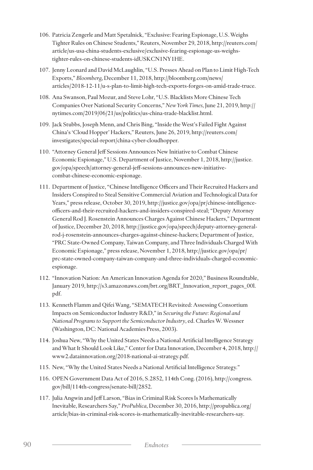- 106. Patricia Zengerle and Matt Spetalnick, "Exclusive: Fearing Espionage, U.S. Weighs Tighter Rules on Chinese Students," Reuters, November 29, 2018, http://reuters.com/ article/us-usa-china-students-exclusive/exclusive-fearing-espionage-us-weighstighter-rules-on-chinese-students-idUSKCN1NY1HE.
- 107. Jenny Leonard and David McLaughlin, "U.S. Presses Ahead on Plan to Limit High-Tech Exports," *Bloomberg*, December 11, 2018, http://bloomberg.com/news/ articles/2018-12-11/u-s-plan-to-limit-high-tech-exports-forges-on-amid-trade-truce.
- 108. Ana Swanson, Paul Mozur, and Steve Lohr, "U.S. Blacklists More Chinese Tech Companies Over National Security Concerns," *New York Times*, June 21, 2019, http:// nytimes.com/2019/06/21/us/politics/us-china-trade-blacklist.html.
- 109. Jack Stubbs, Joseph Menn, and Chris Bing, "Inside the West's Failed Fight Against China's 'Cloud Hopper' Hackers," Reuters, June 26, 2019, http://reuters.com/ investigates/special-report/china-cyber-cloudhopper.
- 110. "Attorney General Jeff Sessions Announces New Initiative to Combat Chinese Economic Espionage," U.S. Department of Justice, November 1, 2018, http://justice. gov/opa/speech/attorney-general-jeff-sessions-announces-new-initiativecombat-chinese-economic-espionage.
- 111. Department of Justice, "Chinese Intelligence Officers and Their Recruited Hackers and Insiders Conspired to Steal Sensitive Commercial Aviation and Technological Data for Years," press release, October 30, 2019, http://justice.gov/opa/pr/chinese-intelligenceofficers-and-their-recruited-hackers-and-insiders-conspired-steal; "Deputy Attorney General Rod J. Rosenstein Announces Charges Against Chinese Hackers," Department of Justice, December 20, 2018, http://justice.gov/opa/speech/deputy-attorney-generalrod-j-rosenstein-announces-charges-against-chinese-hackers; Department of Justice, "PRC State-Owned Company, Taiwan Company, and Three Individuals Charged With Economic Espionage," press release, November 1, 2018, http://justice.gov/opa/pr/ prc-state-owned-company-taiwan-company-and-three-individuals-charged-economicespionage.
- 112. "Innovation Nation: An American Innovation Agenda for 2020," Business Roundtable, January 2019, http://s3.amazonaws.com/brt.org/BRT\_Innovation\_report\_pages\_00l. pdf.
- 113. Kenneth Flamm and Qifei Wang, "SEMATECH Revisited: Assessing Consortium Impacts on Semiconductor Industry R&D," in *Securing the Future: Regional and National Programs to Support the Semiconductor Industry*, ed. Charles W. Wessner (Washington, DC: National Academies Press, 2003).
- 114. Joshua New, "Why the United States Needs a National Artificial Intelligence Strategy and What It Should Look Like," Center for Data Innovation, December 4, 2018, http:// www2.datainnovation.org/2018-national-ai-strategy.pdf.
- 115. New, "Why the United States Needs a National Artificial Intelligence Strategy."
- 116. OPEN Government Data Act of 2016, S.2852, 114th Cong. (2016), http://congress. gov/bill/114th-congress/senate-bill/2852.
- 117. Julia Angwin and Jeff Larson, "Bias in Criminal Risk Scores Is Mathematically Inevitable, Researchers Say," *ProPublica*, December 30, 2016, http://propublica.org/ article/bias-in-criminal-risk-scores-is-mathematically-inevitable-researchers-say.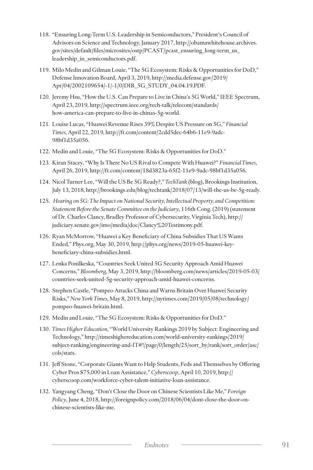- 118. "Ensuring Long-Term U.S. Leadership in Semiconductors," President's Council of Advisors on Science and Technology, January 2017, http://obamawhitehouse.archives. gov/sites/default/files/microsites/ostp/PCAST/pcast\_ensuring\_long-term\_us\_ leadership\_in\_semiconductors.pdf.
- 119. Milo Medin and Gilman Louie, "The 5G Ecosystem: Risks & Opportunities for DoD," Defense Innovation Board, April 3, 2019, http://media.defense.gov/2019/ Apr/04/2002109654/-1/-1/0/DIB\_5G\_STUDY\_04.04.19.PDF.
- 120. Jeremy Hsu, "How the U.S. Can Prepare to Live in China's 5G World," IEEE Spectrum, April 23, 2019, http://spectrum.ieee.org/tech-talk/telecom/standards/ how-america-can-prepare-to-live-in-chinas-5g-world.
- 121. Louise Lucas, "Huawei Revenue Rises 39% Despite US Pressure on 5G," *Financial Times*, April 22, 2019, http://ft.com/content/2cdd5dec-64b6-11e9-9adc-98bf1d35a056.
- 122. Medin and Louie, "The 5G Ecosystem: Risks & Opportunities for DoD."
- 123. Kiran Stacey, "Why Is There No US Rival to Compete With Huawei?" *Financial Times*, April 26, 2019, http://ft.com/content/18d3823a-65f2-11e9-9adc-98bf1d35a056.
- 124. Nicol Turner Lee, "Will the US Be 5G Ready?," *TechTank* (blog), Brookings Institution, July 13, 2018, http://brookings.edu/blog/techtank/2018/07/13/will-the-us-be-5g-ready.
- 125. *Hearing on 5G: The Impact on National Security, Intellectual Property, and Competition: Statement Before the Senate Committee on the Judiciary*, 116th Cong. (2019) (statement of Dr. Charles Clancy, Bradley Professor of Cybersecurity, Virginia Tech), http:// judiciary.senate.gov/imo/media/doc/Clancy%20Testimony.pdf.
- 126. Ryan McMorrow, "Huawei a Key Beneficiary of China Subsidies That US Wants Ended," Phys.org, May 30, 2019, http://phys.org/news/2019-05-huawei-keybeneficiary-china-subsidies.html.
- 127. Lenka Ponilkeska, "Countries Seek United 5G Security Approach Amid Huawei Concerns," *Bloomberg*, May 3, 2019, http://bloomberg.com/news/articles/2019-05-03/ countries-seek-united-5g-security-approach-amid-huawei-concerns.
- 128. Stephen Castle, "Pompeo Attacks China and Warns Britain Over Huawei Security Risks," *New York Times*, May 8, 2019, http://nytimes.com/2019/05/08/technology/ pompeo-huawei-britain.html.
- 129. Medin and Louie, "The 5G Ecosystem: Risks & Opportunities for DoD."
- 130. *Times Higher Education*, "World University Rankings 2019 by Subject: Engineering and Technology," http://timeshighereducation.com/world-university-rankings/2019/ subject-ranking/engineering-and-IT#!/page/0/length/25/sort\_by/rank/sort\_order/asc/ cols/stats.
- 131. Jeff Stone, "Corporate Giants Want to Help Students, Feds and Themselves by Offering Cyber Pros \$75,000 in Loan Assistance," *Cyberscoop*, April 10, 2019, http:// cyberscoop.com/workforce-cyber-talent-initiative-loan-assistance.
- 132. Yangyang Cheng, "Don't Close the Door on Chinese Scientists Like Me," *Foreign Policy*, June 4, 2018, http://foreignpolicy.com/2018/06/04/dont-close-the-door-onchinese-scientists-like-me.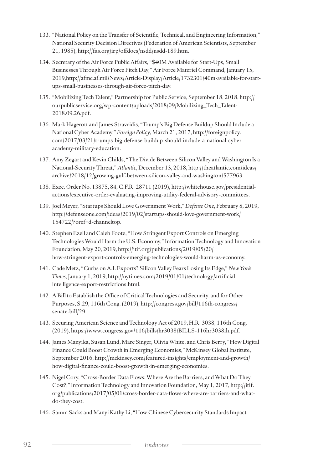- 133. "National Policy on the Transfer of Scientific, Technical, and Engineering Information," National Security Decision Directives (Federation of American Scientists, September 21, 1985), http://fas.org/irp/offdocs/nsdd/nsdd-189.htm.
- 134. Secretary of the Air Force Public Affairs, "\$40M Available for Start-Ups, Small Businesses Through Air Force Pitch Day," Air Force Materiel Command, January 15, 2019, http://afmc.af.mil/News/Article-Display/Article/1732301/40m-available-for-startups-small-businesses-through-air-force-pitch-day.
- 135. "Mobilizing Tech Talent," Partnership for Public Service, September 18, 2018, http:// ourpublicservice.org/wp-content/uploads/2018/09/Mobilizing\_Tech\_Talent-2018.09.26.pdf.
- 136. Mark Hagerott and James Stravridis, "Trump's Big Defense Buildup Should Include a National Cyber Academy," *Foreign Policy*, March 21, 2017, http://foreignpolicy. com/2017/03/21/trumps-big-defense-buildup-should-include-a-national-cyberacademy-military-education.
- 137. Amy Zegart and Kevin Childs, "The Divide Between Silicon Valley and Washington Is a National-Security Threat," *Atlantic*, December 13, 2018, http://theatlantic.com/ideas/ archive/2018/12/growing-gulf-between-silicon-valley-and-washington/577963.
- 138. Exec. Order No. 13875, 84, C.F.R. 28711 (2019), http://whitehouse.gov/presidentialactions/executive-order-evaluating-improving-utility-federal-advisory-committees.
- 139. Joel Meyer, "Startups Should Love Government Work," *Defense One*, February 8, 2019, http://defenseone.com/ideas/2019/02/startups-should-love-government-work/ 154722/?oref=d-channeltop.
- 140. Stephen Ezell and Caleb Foote, "How Stringent Export Controls on Emerging Technologies Would Harm the U.S. Economy," Information Technology and Innovation Foundation, May 20, 2019, http://itif.org/publications/2019/05/20/ how-stringent-export-controls-emerging-technologies-would-harm-us-economy.
- 141. Cade Metz, "Curbs on A.I. Exports? Silicon Valley Fears Losing Its Edge," *New York Times*, January 1, 2019, http://nytimes.com/2019/01/01/technology/artificialintelligence-export-restrictions.html.
- 142. A Bill to Establish the Office of Critical Technologies and Security, and for Other Purposes, S.29, 116th Cong. (2019), http://congress.gov/bill/116th-congress/ senate-bill/29.
- 143. Securing American Science and Technology Act of 2019, H.R. 3038, 116th Cong. (2019), https://www.congress.gov/116/bills/hr3038/BILLS-116hr3038ih.pdf.
- 144. James Manyika, Susan Lund, Marc Singer, Olivia White, and Chris Berry, "How Digital Finance Could Boost Growth in Emerging Economies," McKinsey Global Institute, September 2016, http://mckinsey.com/featured-insights/employment-and-growth/ how-digital-finance-could-boost-growth-in-emerging-economies.
- 145. Nigel Cory, "Cross-Border Data Flows: Where Are the Barriers, and What Do They Cost?," Information Technology and Innovation Foundation, May 1, 2017, http://itif. org/publications/2017/05/01/cross-border-data-flows-where-are-barriers-and-whatdo-they-cost.
- 146. Samm Sacks and Manyi Kathy Li, "How Chinese Cybersecurity Standards Impact